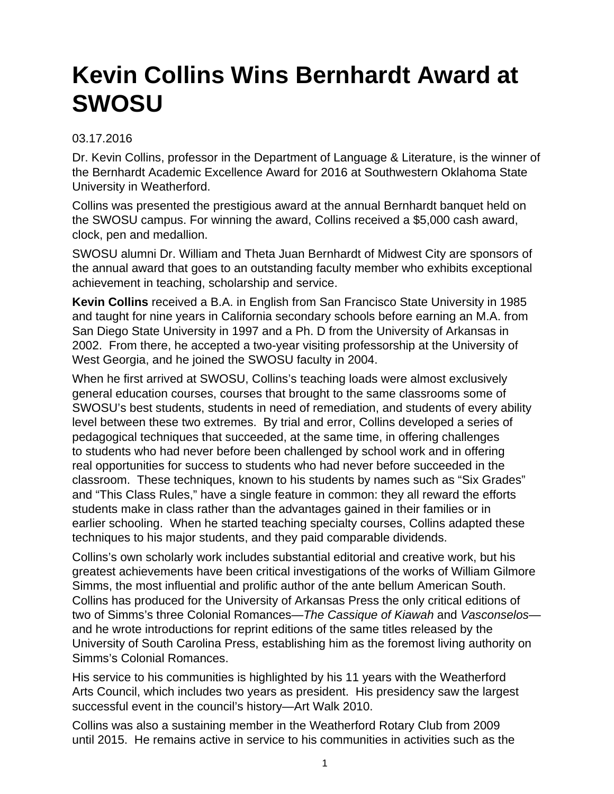## **Kevin Collins Wins Bernhardt Award at SWOSU**

## 03.17.2016

Dr. Kevin Collins, professor in the Department of Language & Literature, is the winner of the Bernhardt Academic Excellence Award for 2016 at Southwestern Oklahoma State University in Weatherford.

Collins was presented the prestigious award at the annual Bernhardt banquet held on the SWOSU campus. For winning the award, Collins received a \$5,000 cash award, clock, pen and medallion.

SWOSU alumni Dr. William and Theta Juan Bernhardt of Midwest City are sponsors of the annual award that goes to an outstanding faculty member who exhibits exceptional achievement in teaching, scholarship and service.

**Kevin Collins** received a B.A. in English from San Francisco State University in 1985 and taught for nine years in California secondary schools before earning an M.A. from San Diego State University in 1997 and a Ph. D from the University of Arkansas in 2002. From there, he accepted a two-year visiting professorship at the University of West Georgia, and he joined the SWOSU faculty in 2004.

When he first arrived at SWOSU, Collins's teaching loads were almost exclusively general education courses, courses that brought to the same classrooms some of SWOSU's best students, students in need of remediation, and students of every ability level between these two extremes. By trial and error, Collins developed a series of pedagogical techniques that succeeded, at the same time, in offering challenges to students who had never before been challenged by school work and in offering real opportunities for success to students who had never before succeeded in the classroom. These techniques, known to his students by names such as "Six Grades" and "This Class Rules," have a single feature in common: they all reward the efforts students make in class rather than the advantages gained in their families or in earlier schooling. When he started teaching specialty courses, Collins adapted these techniques to his major students, and they paid comparable dividends.

Collins's own scholarly work includes substantial editorial and creative work, but his greatest achievements have been critical investigations of the works of William Gilmore Simms, the most influential and prolific author of the ante bellum American South. Collins has produced for the University of Arkansas Press the only critical editions of two of Simms's three Colonial Romances—The Cassique of Kiawah and Vasconselosand he wrote introductions for reprint editions of the same titles released by the University of South Carolina Press, establishing him as the foremost living authority on Simms's Colonial Romances.

His service to his communities is highlighted by his 11 years with the Weatherford Arts Council, which includes two years as president. His presidency saw the largest successful event in the council's history—Art Walk 2010.

Collins was also a sustaining member in the Weatherford Rotary Club from 2009 until 2015. He remains active in service to his communities in activities such as the